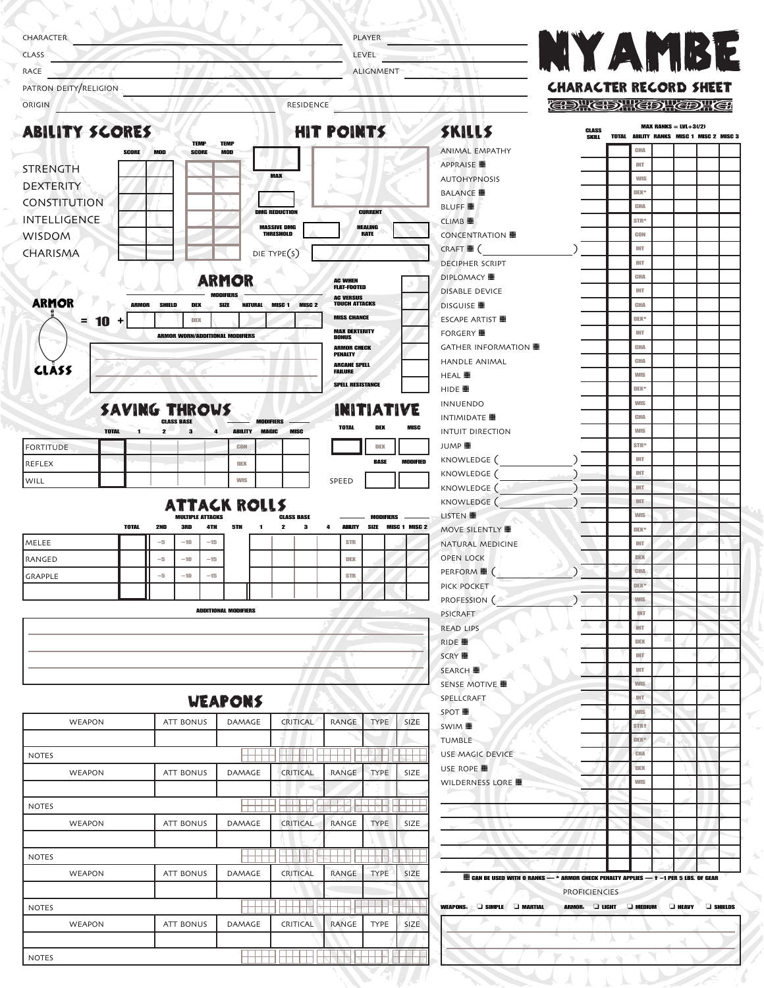| CHARACTER                                                                                    |                                                          |                                       |                                        |                                          | PLAYER                        |                      |                                                                                    |                               |                                |                                          |                             |  |
|----------------------------------------------------------------------------------------------|----------------------------------------------------------|---------------------------------------|----------------------------------------|------------------------------------------|-------------------------------|----------------------|------------------------------------------------------------------------------------|-------------------------------|--------------------------------|------------------------------------------|-----------------------------|--|
| <b>CLASS</b>                                                                                 |                                                          |                                       |                                        |                                          | LEVEL                         |                      | <b>NYAMBE</b>                                                                      |                               |                                |                                          |                             |  |
| RACE                                                                                         |                                                          |                                       |                                        |                                          | ALIGNMENT                     |                      |                                                                                    |                               |                                |                                          |                             |  |
| PATRON DEITY/RELIGION                                                                        |                                                          |                                       |                                        |                                          |                               |                      |                                                                                    | <b>CHARACTER RECORD SHEET</b> |                                |                                          |                             |  |
| ORIGIN                                                                                       |                                                          |                                       | RESIDENCE                              |                                          |                               |                      |                                                                                    | <b>CDHCDHCDHCDHCD</b>         |                                |                                          |                             |  |
| <b>ABILITY SCORES</b>                                                                        |                                                          |                                       |                                        | HIT POINTS                               |                               |                      | SKILLS                                                                             | <b>CLASS</b>                  |                                | <b>MAX RANKS = LVL+3(/2)</b>             |                             |  |
| <b>SCORE</b><br><b>MOD</b>                                                                   | <b>TEMP</b><br><b>TEMP</b><br><b>SCORE</b><br><b>MOD</b> |                                       |                                        |                                          |                               |                      | <b>ANIMAL EMPATHY</b>                                                              | SKILL                         | CHA                            | TOTAL ABILITY RANKS MISC 1 MISC 2 MISC 3 |                             |  |
| STRENGTH                                                                                     |                                                          |                                       |                                        |                                          |                               |                      | APPRAISE ■                                                                         |                               | INT                            |                                          |                             |  |
| <b>DEXTERITY</b>                                                                             |                                                          |                                       | <b>MAX</b>                             |                                          |                               |                      | <b>AUTOHYPNOSIS</b>                                                                |                               | <b>WIS</b>                     |                                          |                             |  |
| CONSTITUTION                                                                                 |                                                          |                                       |                                        |                                          |                               |                      | <b>BALANCE</b>                                                                     |                               | DEX*                           |                                          |                             |  |
| <b>INTELLIGENCE</b>                                                                          |                                                          |                                       | <b>DMG REDUCTION</b>                   |                                          | <b>CURRENT</b>                |                      | <b>BLUFF</b><br>CLIMB ■                                                            |                               | CHA<br>STR <sup>+</sup>        |                                          |                             |  |
| <b>WISDOM</b>                                                                                |                                                          |                                       | <b>MASSIVE DMG</b><br><b>THRESHOLD</b> |                                          | <b>HEALING</b><br><b>RATE</b> |                      | CONCENTRATION ■                                                                    |                               | CON                            |                                          |                             |  |
| CHARISMA                                                                                     |                                                          |                                       | DIE TYPE(S)                            |                                          |                               |                      | $CRAFT \blacksquare$                                                               |                               | INT                            |                                          |                             |  |
|                                                                                              |                                                          |                                       |                                        |                                          |                               |                      | <b>DECIPHER SCRIPT</b>                                                             |                               | INT                            |                                          |                             |  |
|                                                                                              | <b>ARMOR</b>                                             |                                       |                                        | <b>AC WHEN</b><br><b>FLAT-FOOTED</b>     |                               |                      | <b>DIPLOMACY</b><br>DISABLE DEVICE                                                 |                               | CHA<br>INT                     |                                          |                             |  |
| <b>ARMOR</b><br><b>ARMOR</b><br>SHIELD                                                       | DEX<br>SIZE                                              | <b>NATURAL</b>                        | MISC <sub>1</sub><br>MISC <sub>2</sub> | <b>AC VERSUS</b><br><b>TOUCH ATTACKS</b> |                               |                      | DISGUISE ■                                                                         |                               | CHA                            |                                          |                             |  |
| 10<br>Ξ.<br>÷                                                                                | DEX                                                      |                                       |                                        | <b>MISS CHANCE</b>                       |                               |                      | <b>ESCAPE ARTIST</b>                                                               |                               | DEX*                           |                                          |                             |  |
|                                                                                              | <b>ARMOR WORN/ADDITIONAL MODIFIERS</b>                   |                                       |                                        | <b>MAX DEXTERITY</b><br><b>BONUS</b>     |                               |                      | FORGERY ■                                                                          |                               | INT                            |                                          |                             |  |
|                                                                                              |                                                          |                                       |                                        | <b>ARMOR CHECK</b><br><b>PENALTY</b>     |                               |                      | GATHER INFORMATION ■                                                               |                               | CHA<br>CHA                     |                                          |                             |  |
| <b>CLASS</b>                                                                                 |                                                          |                                       |                                        | <b>ARCANE SPELL</b><br><b>FAILURE</b>    |                               |                      | HANDLE ANIMAL<br><b>HEAL</b>                                                       |                               | <b>WIS</b>                     |                                          |                             |  |
|                                                                                              |                                                          |                                       |                                        | <b>SPELL RESISTANCE</b>                  |                               |                      | HIDE ■                                                                             |                               | DEX <sup>*</sup>               |                                          |                             |  |
| <b>SAVING THROWS</b>                                                                         |                                                          |                                       |                                        |                                          | <b>INITIATIVE</b>             |                      | <b>INNUENDO</b>                                                                    |                               | <b>WIS</b>                     |                                          |                             |  |
|                                                                                              | <b>CLASS BASE</b>                                        |                                       | <b>MODIFIERS</b>                       | <b>TOTAL</b>                             | DEX                           | <b>MISC</b>          | <b>INTIMIDATE</b>                                                                  |                               | CHA                            |                                          |                             |  |
| <b>TOTAL</b><br>2<br>-1<br><b>FORTITUDE</b>                                                  | з<br>4                                                   | <b>ABILITY</b><br><b>MAGIC</b><br>CON | <b>MISC</b>                            |                                          | DEX                           |                      | <b>INTUIT DIRECTION</b><br>JUMP ■                                                  |                               | <b>WIS</b><br>STR <sup>+</sup> |                                          |                             |  |
|                                                                                              |                                                          |                                       |                                        |                                          |                               |                      |                                                                                    |                               |                                |                                          |                             |  |
|                                                                                              |                                                          |                                       |                                        |                                          | <b>BASE</b>                   | <b>MODIFIED</b>      | KNOWLEDGE (                                                                        |                               | INT                            |                                          |                             |  |
|                                                                                              |                                                          | DEX                                   |                                        |                                          |                               |                      | KNOWLEDGE (                                                                        |                               | INT                            |                                          |                             |  |
|                                                                                              |                                                          | <b>WIS</b>                            |                                        | SPEED                                    |                               |                      | KNOWLEDGE (                                                                        |                               | <b>INT</b>                     |                                          |                             |  |
|                                                                                              | <b>ATTACK ROLLS</b>                                      |                                       |                                        |                                          |                               |                      | KNOWLEDGE (                                                                        |                               | INT<br><b>WIS</b>              |                                          |                             |  |
| <b>TOTAL</b><br>2ND                                                                          | <b>MULTIPLE ATTACKS</b><br>3RD<br>4TH                    | 5TH                                   | <b>CLASS BASE</b><br>3<br>2            | ABILITY<br>4                             | MODIFIERS<br>SIZE             | <b>MISC 1 MISC 2</b> | LISTEN<br><b>MOVE SILENTLY</b>                                                     |                               | DEX*                           |                                          |                             |  |
| $-\!5$                                                                                       | $-10$<br>$-15$                                           |                                       |                                        | <b>STR</b>                               |                               |                      | NATURAL MEDICINE                                                                   |                               | INT                            |                                          |                             |  |
| $-5$                                                                                         | $-10$<br>$-15$                                           |                                       |                                        |                                          |                               |                      | <b>OPEN LOCK</b>                                                                   |                               | DEK                            |                                          |                             |  |
| $-5$                                                                                         | $-10$<br>$-15$                                           |                                       |                                        | <b>STR</b>                               |                               |                      | PERFORM ■ (                                                                        |                               | CHA<br>DEX*                    |                                          |                             |  |
|                                                                                              |                                                          |                                       |                                        |                                          |                               |                      | PICK POCKET<br>PROFESSION (                                                        |                               | <b>WIS</b>                     |                                          |                             |  |
|                                                                                              | <b>ADDITIONAL MODIFIERS</b>                              |                                       |                                        |                                          |                               |                      | <b>PSICRAFT</b>                                                                    |                               | <b>INT</b>                     |                                          |                             |  |
|                                                                                              |                                                          |                                       |                                        |                                          |                               |                      | READ LIPS                                                                          | $\overline{\phantom{a}}$      | <b>INT</b>                     |                                          |                             |  |
|                                                                                              |                                                          |                                       |                                        |                                          |                               |                      | RIDE ■                                                                             |                               | DEX<br>INT                     |                                          |                             |  |
|                                                                                              |                                                          |                                       |                                        |                                          |                               |                      | SCRY ■<br><b>SEARCH</b>                                                            |                               | <b>INT</b>                     |                                          |                             |  |
|                                                                                              |                                                          |                                       |                                        |                                          |                               |                      | SENSE MOTIVE                                                                       |                               | wis                            |                                          |                             |  |
|                                                                                              | <b>WEAPONS</b>                                           |                                       |                                        |                                          |                               |                      | SPELLCRAFT                                                                         |                               | <b>INT</b>                     |                                          |                             |  |
| WEAPON                                                                                       | ATT BONUS                                                | DAMAGE                                | CRITICAL                               | RANGE                                    | <b>TYPE</b>                   | SIZE                 | SPOT ■                                                                             |                               | <b>WIS</b><br>STR <sub>t</sub> |                                          |                             |  |
|                                                                                              |                                                          |                                       |                                        |                                          |                               |                      | SWIM ■<br>TUMBLE                                                                   |                               | DEK*                           |                                          |                             |  |
|                                                                                              |                                                          | नन                                    |                                        | $\Box$                                   |                               |                      | USE MAGIC DEVICE                                                                   |                               | CHA                            |                                          |                             |  |
| WEAPON                                                                                       | ATT BONUS                                                | DAMAGE                                | CRITICAL                               | RANGE                                    | <b>TYPE</b>                   | SIZE                 | USE ROPE ■                                                                         |                               | DEX                            |                                          |                             |  |
|                                                                                              |                                                          |                                       |                                        |                                          |                               |                      | WILDERNESS LORE                                                                    |                               | <b>WIS</b>                     |                                          |                             |  |
|                                                                                              |                                                          |                                       |                                        | - 1                                      | <b>ADAM</b>                   | <b>IN Lite</b>       |                                                                                    |                               |                                |                                          |                             |  |
| WEAPON                                                                                       | ATT BONUS                                                | DAMAGE                                | CRITICAL                               | RANGE                                    | TYPE                          | SIZE.                |                                                                                    |                               |                                |                                          |                             |  |
|                                                                                              |                                                          |                                       |                                        |                                          |                               |                      |                                                                                    |                               |                                |                                          |                             |  |
| REFLEX<br>WILL<br>MELEE<br>RANGED<br>GRAPPLE<br><b>NOTES</b><br><b>NOTES</b><br><b>NOTES</b> |                                                          | नना                                   |                                        | πT                                       |                               |                      |                                                                                    |                               |                                |                                          |                             |  |
| WEAPON                                                                                       | ATT BONUS                                                | DAMAGE                                | CRITICAL                               | RANGE                                    | TYPE                          | SIZE                 | CAN BE USED WITH 0 RANKS - * ARMOR CHECK PENALTY APPLIES - + -1 PER 5 LBS. OF GEAR |                               |                                |                                          |                             |  |
|                                                                                              |                                                          |                                       |                                        |                                          |                               |                      | Æ                                                                                  | <b>PROFICIENCIES</b>          |                                |                                          |                             |  |
| <b>NOTES</b>                                                                                 |                                                          | $\cdots$                              |                                        |                                          |                               |                      | WEAPONS: J SIMPLE J MARTIAL                                                        | ARMOR: LIGHT AMEDIUM          |                                |                                          | $\Box$ HEAVY $\Box$ Shields |  |

r CAN BE USED WITH 0 RANKS — \* ARMOR CHECK PENALTY APPLIES — † -1 PER 5 LBS. OF GEAR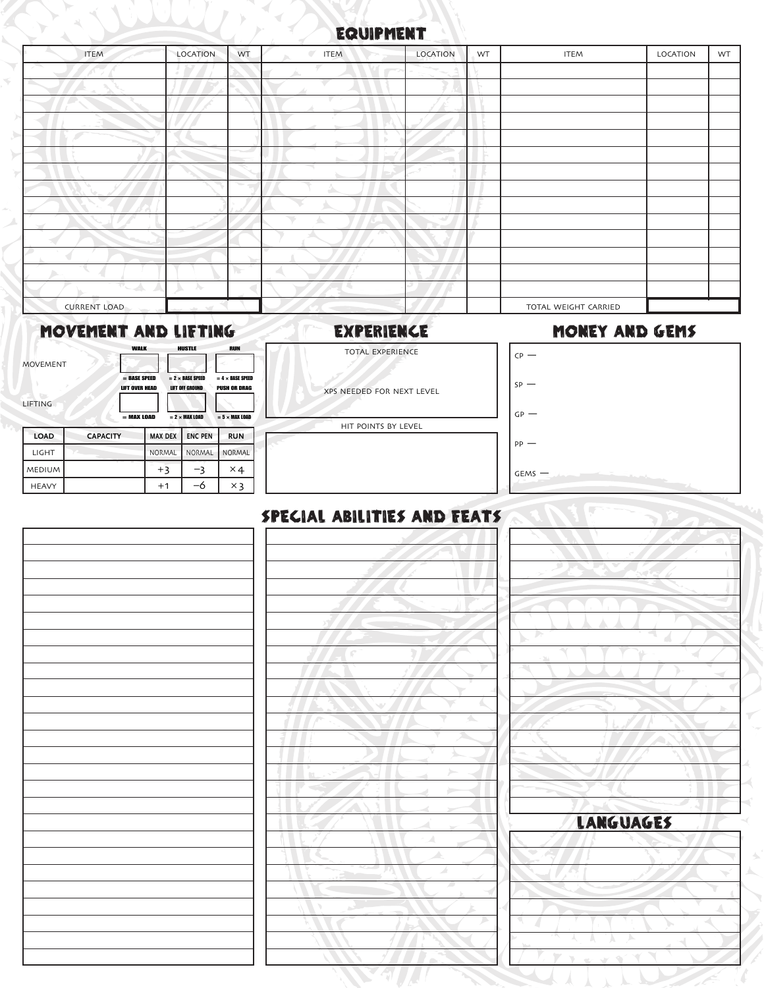## EQUIPMENT EQUIPMENT

| <b>ITEM</b>                    | LOCATION          | WT            | $\overline{\phantom{a}}$<br><b>ITEM</b> | LOCATION | WT | <b>ITEM</b>          | LOCATION | WT |
|--------------------------------|-------------------|---------------|-----------------------------------------|----------|----|----------------------|----------|----|
|                                |                   |               | $\sim$                                  |          |    |                      |          |    |
|                                |                   |               |                                         |          |    |                      |          |    |
|                                |                   |               |                                         |          |    |                      |          |    |
|                                |                   |               |                                         |          |    |                      |          |    |
|                                |                   |               |                                         |          |    |                      |          |    |
|                                |                   |               |                                         |          |    |                      |          |    |
|                                |                   |               |                                         |          |    |                      |          |    |
|                                |                   |               |                                         |          |    |                      |          |    |
|                                |                   |               |                                         |          |    |                      |          |    |
|                                |                   |               |                                         |          |    |                      |          |    |
|                                |                   |               | <b>AND IN</b>                           |          |    |                      |          |    |
|                                |                   |               |                                         |          |    |                      |          |    |
|                                |                   | $\mathcal{L}$ |                                         |          |    |                      |          |    |
| ÷.<br>$\overline{\phantom{a}}$ | A                 |               |                                         |          |    |                      |          |    |
| <b>CURRENT LOAD</b>            | $\sim$<br>$-2\pi$ |               |                                         |          |    | TOTAL WEIGHT CARRIED |          |    |

### MOVEMENT AND LIFTING EXPERIENCE

# TOTAL EXPERIENCE

#### LE MONEY AND GEMS

|                 | <b>WALK</b>           | <b>HUSTLE</b>           | <b>RUN</b>              |  |
|-----------------|-----------------------|-------------------------|-------------------------|--|
| <b>MOVEMENT</b> |                       |                         |                         |  |
|                 | = BASE SPEED          | $= 2 \times BASE$ SPEED | $= 4 \times$ BASE SPEED |  |
|                 | <b>LIFT OVER HEAD</b> | <b>LIFT OFF GROUND</b>  | <b>PUSH OR DRAG</b>     |  |
| LIFTING         |                       |                         |                         |  |
|                 | $=$ MAX LOAD          | $= 2 \times$ MAX LOAD   | $= 5 \times$ MAX LOAD   |  |

| <b>LOAD</b>   | <b>CAPACITY</b> | <b>MAX DEX</b> | <b>ENC PEN</b> | <b>RUN</b> |
|---------------|-----------------|----------------|----------------|------------|
| LIGHT         |                 | NORMAL         | <b>NORMAL</b>  | NORMAL     |
| <b>MEDIUM</b> |                 | $+3$           |                | $\times 4$ |
| <b>HEAVY</b>  |                 | $+1$           | –ი             | $\times$ 3 |

| XPS NEEDED FOR NEXT LEVEL |
|---------------------------|
|                           |

| 1EDIUM | +3   | -3   | $\times$ 4 | $GEMS$ $-$                  |  |
|--------|------|------|------------|-----------------------------|--|
| HEAVY  | $+1$ | $-6$ | $\times$ 3 |                             |  |
|        |      |      |            |                             |  |
|        |      |      |            | SPECIAL ABILITIES AND FEATS |  |
|        |      |      |            |                             |  |
|        |      |      |            |                             |  |
|        |      |      |            |                             |  |
|        |      |      |            |                             |  |
|        |      |      |            |                             |  |
|        |      |      |            |                             |  |
|        |      |      |            | J.<br>b,                    |  |
|        |      |      |            |                             |  |
|        |      |      |            | 홱                           |  |
|        |      |      |            |                             |  |
|        |      |      |            |                             |  |
|        |      |      |            | △                           |  |
|        |      |      |            |                             |  |
|        |      |      |            |                             |  |
|        |      |      |            |                             |  |
|        |      |      |            |                             |  |
|        |      |      |            |                             |  |
|        |      |      |            | LANGUAG<br>z.               |  |
|        |      |      |            | A                           |  |
|        |      |      |            | ⊿                           |  |
|        |      |      |            | 4                           |  |
|        |      |      |            |                             |  |
|        |      |      |            |                             |  |
|        |      |      |            | D                           |  |
|        |      |      |            |                             |  |
|        |      |      |            |                             |  |
|        |      |      |            |                             |  |
|        |      |      |            |                             |  |

| <b>LANGUAGES</b> |  |  |  |  |  |
|------------------|--|--|--|--|--|
|                  |  |  |  |  |  |
|                  |  |  |  |  |  |
|                  |  |  |  |  |  |
|                  |  |  |  |  |  |
|                  |  |  |  |  |  |
|                  |  |  |  |  |  |
|                  |  |  |  |  |  |
|                  |  |  |  |  |  |

## SPECIAL ABILITIES AND FEATS

XPS NEEDED FOR NEXT LEVEL HIT POINTS BY LEVEL

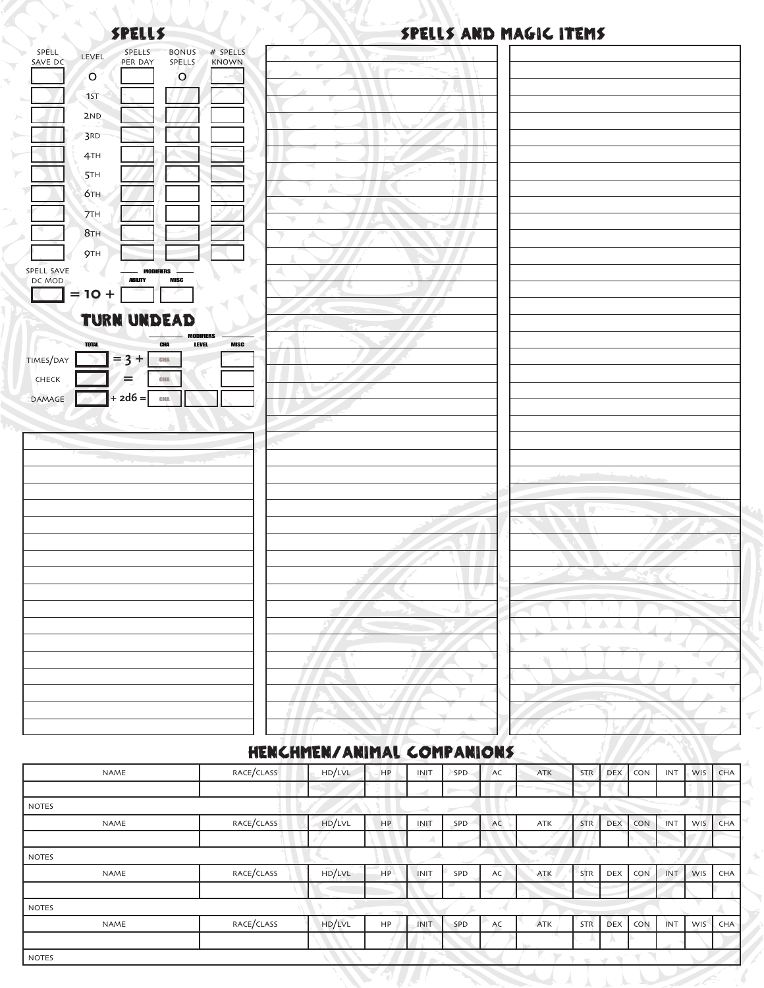#### DEL SPELLS

SPELL

## SPELLS SPELLS AND MAGIC ITEMS

|                                                                                   |                                  | <b>STATISTICS</b>                       |
|-----------------------------------------------------------------------------------|----------------------------------|-----------------------------------------|
| SPELLS<br># SPELLS<br>SPELL<br><b>BONUS</b><br>LEVEL                              | $\overline{\phantom{a}}$         |                                         |
| PER DAY<br>SAVE DC<br>SPELLS<br>KNOWN                                             | s.                               |                                         |
| $\circ$<br>$\circ$                                                                |                                  |                                         |
| 1ST                                                                               |                                  |                                         |
| 2ND                                                                               |                                  |                                         |
| 3RD                                                                               |                                  |                                         |
| 4TH                                                                               |                                  |                                         |
| <b>5TH</b>                                                                        |                                  |                                         |
| бтн                                                                               |                                  |                                         |
| <b>7TH</b>                                                                        | ь                                |                                         |
| 8 <sub>TH</sub>                                                                   |                                  |                                         |
| 9TH                                                                               |                                  |                                         |
| SPELL SAVE<br><b>MODIFIERS</b>                                                    |                                  |                                         |
| DC MOD<br><b>ABILITY</b><br><b>MISC</b>                                           |                                  |                                         |
| $\Rightarrow$ 10 +                                                                |                                  |                                         |
| <b>TURN UNDEAD</b>                                                                |                                  |                                         |
| <b>MODIFIERS</b>                                                                  |                                  |                                         |
| <b>TOTAL</b><br><b>LEVEL</b><br>CHA<br><b>MISC</b><br>$= 3 +$<br>TIMES/DAY<br>CHA |                                  |                                         |
| CHA                                                                               |                                  |                                         |
| CHECK<br>=                                                                        |                                  |                                         |
| $+ 2d6 =$<br>DAMAGE<br>CHA                                                        |                                  |                                         |
|                                                                                   |                                  |                                         |
| $\alpha_{\infty}$ .                                                               |                                  |                                         |
|                                                                                   |                                  |                                         |
|                                                                                   |                                  |                                         |
|                                                                                   |                                  |                                         |
|                                                                                   |                                  |                                         |
|                                                                                   |                                  |                                         |
|                                                                                   |                                  |                                         |
|                                                                                   |                                  |                                         |
|                                                                                   |                                  |                                         |
|                                                                                   | $\leftarrow$<br>$\sim$<br>المزور | $^7$ + $^7$<br>L.<br>v.                 |
|                                                                                   |                                  | <b>AAAA</b>                             |
|                                                                                   |                                  | A.<br>$\rightarrow$                     |
|                                                                                   |                                  | 9                                       |
|                                                                                   |                                  | $\overline{\phantom{a}}$<br>$\mathbb D$ |
|                                                                                   |                                  | $\overline{\phantom{a}}$                |
|                                                                                   |                                  | $\blacktriangleright$                   |
|                                                                                   |                                  |                                         |
|                                                                                   | $\Box$                           | $\sqrt{2}$                              |

## HENCHMEN/ANIMAL COMPANIONS

| NAME         | RACE/CLASS | HD/LVL | HP        | INIT  | <b>SPD</b> | AC | <b>ATK</b> | STR        | <b>DEX</b>    | CON        | INT        | <b>WIS</b> | CHA |
|--------------|------------|--------|-----------|-------|------------|----|------------|------------|---------------|------------|------------|------------|-----|
|              |            |        |           |       |            |    |            |            |               |            |            |            |     |
| <b>NOTES</b> |            |        |           |       |            |    |            |            |               |            |            |            |     |
| NAME         | RACE/CLASS | HD/LVL | <b>HP</b> | INIT  | SPD        | AC | ATK        | <b>STR</b> | <b>DEX</b>    | <b>CON</b> | <b>TNT</b> | WIS        | CHA |
|              |            |        |           |       |            |    |            |            |               |            |            |            |     |
| <b>NOTES</b> |            |        |           |       |            |    |            |            |               |            |            |            |     |
| <b>NAME</b>  | RACE/CLASS | HD/LVL | HP        | INIT  | SPD        | AC | ATK        | STR        | DEX           | <b>CON</b> | INT        | WIS        | CHA |
|              |            |        |           |       |            |    |            |            |               |            |            |            |     |
| <b>NOTES</b> |            |        |           |       |            |    |            |            |               |            |            |            |     |
| NAME         | RACE/CLASS | HD/LVL | HP        | INIT. | SPD        | AC | ATK        | STR        | <b>DEX</b>    | CON        | INT        | WIS        | CHA |
|              |            |        |           |       |            |    |            |            | А             |            |            |            |     |
| <b>NOTES</b> |            |        |           |       |            |    |            | $\alpha$   | $\sim$ $\!\!$ |            |            |            |     |